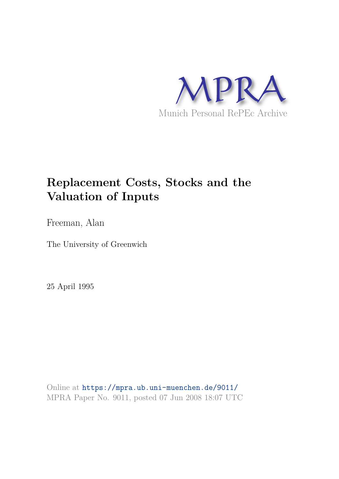

# **Replacement Costs, Stocks and the Valuation of Inputs**

Freeman, Alan

The University of Greenwich

25 April 1995

Online at https://mpra.ub.uni-muenchen.de/9011/ MPRA Paper No. 9011, posted 07 Jun 2008 18:07 UTC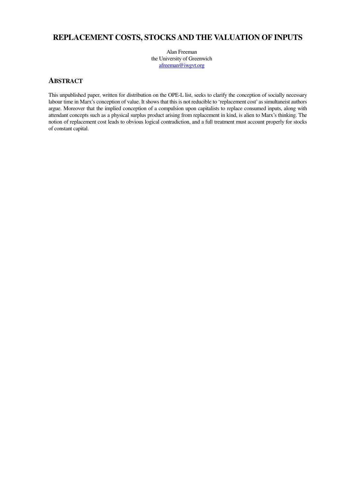# **REPLACEMENT COSTS, STOCKS AND THE VALUATION OF INPUTS**

Alan Freeman the University of Greenwich afreeman@iwgvt.org

## **ABSTRACT**

This unpublished paper, written for distribution on the OPE-L list, seeks to clarify the conception of socially necessary labour time in Marx's conception of value. It shows that this is not reducible to 'replacement cost' as simultaneist authors argue. Moreover that the implied conception of a compulsion upon capitalists to replace consumed inputs, along with attendant concepts such as a physical surplus product arising from replacement in kind, is alien to Marx's thinking. The notion of replacement cost leads to obvious logical contradiction, and a full treatment must account properly for stocks of constant capital.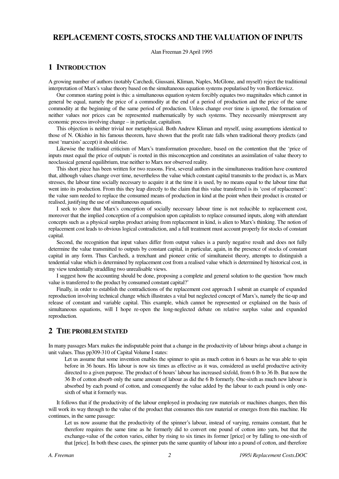## **REPLACEMENT COSTS, STOCKS AND THE VALUATION OF INPUTS**

Alan Freeman 29 April 1995

## **1 INTRODUCTION**

A growing number of authors (notably Carchedi, Giussani, Kliman, Naples, McGlone, and myself) reject the traditional interpretation of Marx's value theory based on the simultaneous equation systems popularised by von Bortkiewicz.

Our common starting point is this: a simultaneous equation system forcibly equates two magnitudes which cannot in general be equal, namely the price of a commodity at the end of a period of production and the price of the same commodity at the beginning of the same period of production. Unless change over time is ignored, the formation of neither values nor prices can be represented mathematically by such systems. They necessarily misrepresent any economic process involving change – in particular, capitalism.

This objection is neither trivial nor metaphysical. Both Andrew Kliman and myself, using assumptions identical to those of N. Okishio in his famous theorem, have shown that the profit rate falls when traditional theory predicts (and most 'marxists' accept) it should rise.

Likewise the traditional criticism of Marx's transformation procedure, based on the contention that the 'price of inputs must equal the price of outputs' is rooted in this misconception and constitutes an assimilation of value theory to neoclassical general equilibrium, true neither to Marx nor observed reality.

This short piece has been written for two reasons. First, several authors in the simultaneous tradition have countered that, although values change over time, nevertheless the value which constant capital transmits to the product is, as Marx stresses, the labour time socially necessary to acquire it at the time it is used, by no means equal to the labour time that went into its production. From this they leap directly to the claim that this value transferred is its 'cost of replacement': the value sum needed to replace the consumed means of production in kind at the point when their product is created or realised, justifying the use of simultaneous equations.

I seek to show that Marx's conception of socially necessary labour time is not reducible to replacement cost, moreover that the implied conception of a compulsion upon capitalists to replace consumed inputs, along with attendant concepts such as a physical surplus product arising from replacement in kind, is alien to Marx's thinking. The notion of replacement cost leads to obvious logical contradiction, and a full treatment must account properly for stocks of constant capital.

Second, the recognition that input values differ from output values is a purely negative result and does not fully determine the value transmitted to outputs by constant capital, in particular, again, in the presence of stocks of constant capital in any form. Thus Carchedi, a trenchant and pioneer critic of simultaneist theory, attempts to distinguish a tendential value which is determined by replacement cost from a realised value which is determined by historical cost, in my view tendentially straddling two unrealisable views.

I suggest how the accounting should be done, proposing a complete and general solution to the question 'how much value is transferred to the product by consumed constant capital?'

Finally, in order to establish the contradictions of the replacement cost approach I submit an example of expanded reproduction involving technical change which illustrates a vital but neglected concept of Marx's, namely the tie-up and release of constant and variable capital. This example, which cannot be represented or explained on the basis of simultaneous equations, will I hope re-open the long-neglected debate on relative surplus value and expanded reproduction.

### **2 THE PROBLEM STATED**

In many passages Marx makes the indisputable point that a change in the productivity of labour brings about a change in unit values. Thus pp309-310 of Capital Volume I states:

Let us assume that some invention enables the spinner to spin as much cotton in 6 hours as he was able to spin before in 36 hours. His labour is now six times as effective as it was, considered as useful productive activity directed to a given purpose. The product of 6 hours' labour has increased sixfold, from 6 lb to 36 lb. But now the 36 lb of cotton absorb only the same amount of labour as did the 6 lb formerly. One-sixth as much new labour is absorbed by each pound of cotton, and consequently the value added by the labour to each pound is only onesixth of what it formerly was.

It follows that if the productivity of the labour employed in producing raw materials or machines changes, then this will work its way through to the value of the product that consumes this raw material or emerges from this machine. He continues, in the same passage:

Let us now assume that the productivity of the spinner's labour, instead of varying, remains constant, that he therefore requires the same time as he formerly did to convert one pound of cotton into yarn, but that the exchange-value of the cotton varies, either by rising to six times its former [price] or by falling to one-sixth of that [price]. In both these cases, the spinner puts the same quantity of labour into a pound of cotton, and therefore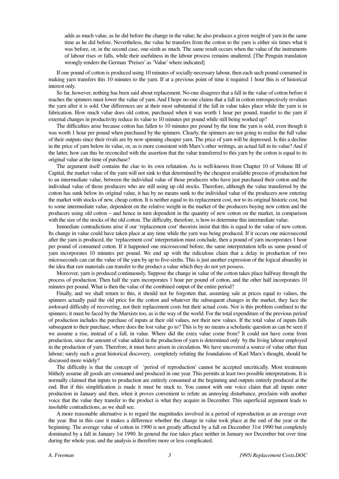adds as much value, as he did before the change in the value; he also produces a given weight of yarn in the same time as he did before. Nevertheless, the value he transfers from the cotton to the yarn is either six times what it was before, or, in the second case, one-sixth as much. The same result occurs when the value of the instruments of labour rises or falls, while their usefulness in the labour process remains unaltered. [The Penguin translation wrongly renders the German 'Preises' as 'Value' where indicated]

If one pound of cotton is produced using 10 minutes of socially-necessary labour, then each such pound consumed in making yarn transfers this 10 minutes to the yarn. If at a previous point of time it required 1 hour this is of historical interest only.

So far, however, nothing has been said about replacement. No-one disagrees that a fall in the value of cotton before it reaches the spinners must lower the value of yarn. And I hope no-one claims that a fall in cotton retrospectively revalues the yarn after it is sold. Our differences are at their most substantial if the fall in value takes place while the yarn is in fabrication. How much value does old cotton, purchased when it was worth 1 hour per pound, transfer to the yarn if external changes in productivity reduce its value to 10 minutes per pound while still being worked up?

The difficulties arise because cotton has fallen to 10 minutes per pound by the time the yarn is sold, even though it was worth 1 hour per pound when purchased by the spinners. Clearly, the spinners are not going to realise the full value of their outputs since their rivals are by now spinning cheaper yarn. The price of yarn will be depressed. Is this a decline in the price of yarn below its value, or, as is more consistent with Marx's other writings, an actual fall in its value? And if the latter, how can this be reconciled with the assertion that the value transferred to this yarn by the cotton is equal to its original value at the time of purchase?

The argument itself contains the clue to its own refutation. As is well-known from Chapter 10 of Volume III of Capital, the market value of the yarn will not sink to that determined by the cheapest available process of production but to an intermediate value, between the individual value of those producers who have just purchased their cotton and the individual value of those producers who are still using up old stocks. Therefore, although the value transferred by the cotton has sunk below its original value, it has by no means sunk to the individual value of the producers now entering the market with stocks of new, cheap cotton. It is neither equal to its replacement cost, nor to its original historic cost, but to some intermediate value, dependent on the relative weight in the market of the producers buying new cotton and the producers using old cotton – and hence in turn dependent in the quantity of new cotton on the market, in comparison with the size of the stocks of the old cotton. The difficulty, therefore, is how to determine this intermediate value.

Immediate contradictions arise if our 'replacement cost' theorists insist that this is equal to the value of new cotton. Its change in value could have taken place at any time while the yarn was being produced. If it occurs one microsecond after the yarn is produced, the 'replacement cost' interpretation must conclude, then a pound of yarn incorporates 1 hour per pound of consumed cotton. If it happened one microsecond before, the same interpretation tells us same pound of yarn incorporates 10 minutes per pound. We end up with the ridiculous claim that a delay in production of two microseconds can cut the value of the yarn by up to five-sixths. This is just another expression of the logical absurdity in the idea that raw materials can transfer to the product a value which they do not yet possess.

Moreover, yarn is produced continuously. Suppose the change in value of the cotton takes place halfway through the process of production. Then half the yarn incorporates 1 hour per pound of cotton, and the other half incorporates 10 minutes per pound. What is then the value of the combined output of the entire period?

Finally, and we shall return to this, it should not be forgotten that, assuming sale at prices equal to values, the spinners actually paid the old price for the cotton and whatever the subsequent changes in the market, they face the awkward difficulty of recovering, not their replacement costs but their actual costs. Nor is this problem confined to the spinners; it must be faced by the Marxists too, as is the way of the world. For the total expenditure of the previous period of production includes the purchase of inputs at their old values, not their new values. If the total value of inputs falls subsequent to their purchase, where does the lost value go to? This is by no means a scholastic question as can be seen if we assume a rise, instead of a fall, in value. Where did the extra value come from? It could not have come from production, since the amount of value added in the production of yarn is determined only by the living labour employed in the production of yarn. Therefore, it must have arisen in circulation. We have uncovered a source of value other than labour; surely such a great historical discovery, completely refuting the foundations of Karl Marx's thought, should be discussed more widely?

The difficulty is that the concept of 'period of reproduction' cannot be accepted uncritically. Most treatments blithely assume all goods are consumed and produced in one year. This permits at least two possible interpretations. It is normally claimed that inputs to production are entirely consumed at the beginning and outputs entirely produced at the end. But if this simplification is made it must be stuck to. You cannot with one voice claim that all inputs enter production in January and then, when it proves convenient to refute an annoying disturbance, proclaim with another voice that the value they transfer to the product is what they acquire in December. This superficial argument leads to insoluble contradictions, as we shall see.

A more reasonable alternative is to regard the magnitudes involved in a period of reproduction as an average over the year. But in this case it makes a difference whether the change in value took place at the end of the year or the beginning. The average value of cotton in 1990 is not greatly affected by a fall on December 31st 1990 but completely dominated by a fall in January 1st 1990. In general the rise takes place neither in January nor December but over time during the whole year, and the analysis is therefore more or less complicated.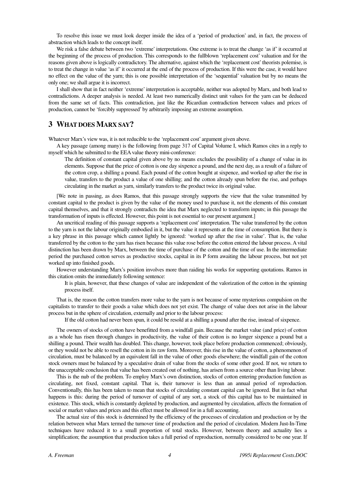To resolve this issue we must look deeper inside the idea of a 'period of production' and, in fact, the process of abstraction which leads to the concept itself.

We risk a false debate between two 'extreme' interpretations. One extreme is to treat the change 'as if' it occurred at the beginning of the process of production. This corresponds to the fullblown 'replacement cost' valuation and for the reasons given above is logically contradictory. The alternative, against which the 'replacement cost' theorists polemise, is to treat the change in value 'as if' it occurred at the end of the process of production. If this were the case, it would have no effect on the value of the yarn; this is one possible interpretation of the 'sequential' valuation but by no means the only one; we shall argue it is incorrect.

I shall show that in fact neither 'extreme' interpretation is acceptable, neither was adopted by Marx, and both lead to contradictions. A deeper analysis is needed. At least two numerically distinct unit values for the yarn can be deduced from the same set of facts. This contradiction, just like the Ricardian contradiction between values and prices of production, cannot be 'forcibly suppressed' by arbitrarily imposing an extreme assumption.

## **3 WHAT DOES MARX SAY?**

Whatever Marx's view was, it is not reducible to the 'replacement cost' argument given above.

A key passage (among many) is the following from page 317 of Capital Volume I, which Ramos cites in a reply to myself which he submitted to the EEA value theory mini-conference:

The definition of constant capital given above by no means excludes the possibility of a change of value in its elements. Suppose that the price of cotton is one day sixpence a pound, and the next day, as a result of a failure of the cotton crop, a shilling a pound. Each pound of the cotton bought at sixpence, and worked up after the rise in value, transfers to the product a value of one shilling; and the cotton already spun before the rise, and perhaps circulating in the market as yarn, similarly transfers to the product twice its original value.

[We note in passing, as does Ramos, that this passage strongly supports the view that the value transmitted by constant capital to the product is given by the value of the money used to purchase it, not the elements of this constant capital themselves, and that it strongly contradicts the idea that Marx neglected to transform inputs; in this passage the transformation of inputs is effected. However, this point is not essential to our present argument.]

An uncritical reading of this passage supports a 'replacement cost' interpretation. The value transferred by the cotton to the yarn is not the labour originally embodied in it, but the value it represents at the time of consumption. But there is a key phrase in this passage which cannot lightly be ignored: 'worked up after the rise in value'. That is, the value transferred by the cotton to the yarn has risen because this value rose before the cotton entered the labour process. A vital distinction has been drawn by Marx, between the time of purchase of the cotton and the time of use. In the intermediate period the purchased cotton serves as productive stocks, capital in its P form awaiting the labour process, but not yet worked up into finished goods.

However understanding Marx's position involves more than raiding his works for supporting quotations. Ramos in this citation omits the immediately following sentence:

It is plain, however, that these changes of value are independent of the valorization of the cotton in the spinning process itself.

That is, the reason the cotton transfers more value to the yarn is not because of some mysterious compulsion on the capitalists to transfer to their goods a value which does not yet exist. The change of value does not arise in the labour process but in the sphere of circulation, externally and prior to the labour process:

If the old cotton had never been spun, it could be resold at a shilling a pound after the rise, instead of sixpence.

The owners of stocks of cotton have benefitted from a windfall gain. Because the market value (and price) of cotton as a whole has risen through changes in productivity, the value of their cotton is no longer sixpence a pound but a shilling a pound. Their wealth has doubled. This change, however, took place before production commenced; obviously, or they would not be able to resell the cotton in its raw form. Moreover, this rise in the value of cotton, a phenomenon of circulation, must be balanced by an equivalent fall in the value of other goods elsewhere; the windfall gain of the cotton stock owners must be balanced by a speculative drain of value from the stocks of some other good. If not, we return to the unacceptable conclusion that value has been created out of nothing, has arisen from a source other than living labour.

This is the nub of the problem. To employ Marx's own distinction, stocks of cotton entering production function as circulating, not fixed, constant capital. That is, their turnover is less than an annual period of reproduction. Conventionally, this has been taken to mean that stocks of circulating constant capital can be ignored. But in fact what happens is this: during the period of turnover of capital of any sort, a stock of this capital has to be maintained in existence. This stock, which is constantly depleted by production, and augmented by circulation, affects the formation of social or market values and prices and this effect must be allowed for in a full accounting.

The actual size of this stock is determined by the efficiency of the processes of circulation and production or by the relation between what Marx termed the turnover time of production and the period of circulation. Modern Just-In-Time techniques have reduced it to a small proportion of total stocks. However, between theory and actuality lies a simplification; the assumption that production takes a full period of reproduction, normally considered to be one year. If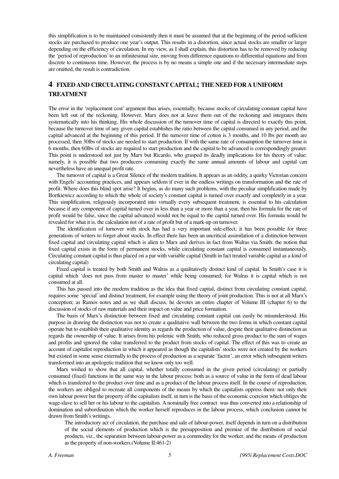this simplification is to be maintained consistently then it must be assumed that at the beginning of the period sufficient stocks are purchased to produce one year's output. This results in a distortion, since actual stocks are smaller or larger depending on the efficiency of circulation. In my view, as I shall explain, this distortion has to be removed by reducing the 'period of reproduction' to an infinitesimal size, moving from difference equations to differential equations and from discrete to continuous time. However, the process is by no means a simple one and if the necessary intermediate steps are omitted, the result is contradiction.

## **4 FIXED AND CIRCULATING CONSTANT CAPITAL; THE NEED FOR A UNIFORM TREATMENT**

The error in the 'replacement cost' argument thus arises, essentially, because stocks of circulating constant capital have been left out of the reckoning. However, Marx does not at leave them out of the reckoning and integrates them systematically into his thinking. His whole discussion of the turnover time of capital is directed to exactly this point, because the turnover time of any given capital establishes the ratio between the capital consumed in any period, and the capital advanced at the beginning of this period. If the turnover time of cotton is 3 months, and 10 lbs per month are processed, then 30lbs of stocks are needed to start production. If with the same rate of consumption the turnover time is 6 months, then 60lbs of stocks are required to start production and the capital to be advanced is correspondingly greater. This point is understood not just by Marx but Ricardo, who grasped its deadly implications for his theory of value: namely, it is possible that two producers consuming exactly the same annual amounts of labour and capital can nevertheless have an unequal profit rate.

The turnover of capital is a Great Silence of the modern tradition. It appears as an oddity, a quirky Victorian concern with Engels' accounting practices, and appears seldom if ever in the endless writings on transformation and the rate of profit. Where does this blind spot arise? It begins, as do many such problems, with the peculiar simplification made by Bortkiewicz according to which the whole of society's constant capital is turned over exactly and completely in a year. This simplification, religiously incorporated into virtually every subsequent treatment, is essential to his calculation because if any component of capital turned over in less than a year or more than a year, then his formula for the rate of profit would be false, since the capital advanced would not be equal to the capital turned over. His formula would be revealed for what it is, the calculation not of a rate of profit but of a mark-up on turnover.

The identification of turnover with stock has had a very important side-effect; it has been possible for three generations of writers to forget about stocks. In effect there has been an uncritical assimilation of a distinction between fixed capital and circulating capital which is alien to Marx and derives in fact from Walras via Smith: the notion that fixed capital exists in the form of permanent stocks, while circulating constant capital is consumed instantaneously. Circulating constant capital is thus placed on a par with variable capital (Smith in fact treated variable capital as a kind of circulating capital)

Fixed capital is treated by both Smith and Walras as a qualitatively distinct kind of capital. In Smith's case it is capital which 'does not pass from master to master' while being consumed; for Walras it is capital which is not consumed at all.

This has passed into the modern tradition as the idea that fixed capital, distinct from circulating constant capital, requires some 'special' and distinct treatment, for example using the theory of joint production. This is not at all Marx's conception; as Ramos notes and as we shall discuss, he devotes an entire chapter of Volume III (chapter 6) to the discussion of stocks of raw materials and their impact on value and price formation.

The basis of Marx's distinction between fixed and circulating constant capital can easily be misunderstood. His purpose in drawing the distinction was not to create a qualitative wall between the two forms in which constant capital operate but to establish their qualitative identity as regards the production of value, despite their qualitative distinction as regards the ownership of value. It arises from his polemic with Smith, who reduced gross product to the sum of wages and profits and ignored the value transferred to the product from stocks of capital. The effect of this was to create an account of capitalist reproduction in which it appeared as though the capitalists' stocks were not created by the workers but existed in some sense externally to the process of production as a separate 'factor', an error which subsequent writers transformed into an apologetic tradition that we know only too well.

Marx wished to show that all capital, whether totally consumed in the given period (circulating) or partially consumed (fixed) functions in the same way in the labour process: both as a source of value in the form of dead labour which is transferred to the product over time and as a product of the labour process itself. In the course of reproduction, the workers are obliged to recreate all components of the means by which the capitalists oppress them: not only their own labour power but the property of the capitalists itself, in turn is the basis of the economic coercion which obliges the wage-slave to sell her or his labour to the capitalists. A nominally free contract was thus converted into a relationship of domination and subordination which the worker herself reproduces in the labour process, which conclusion cannot be drawn from Smith's writings.

The introductory act of circulation, the purchase and sale of labour-power, itself depends in turn on a distribution of the social elements of production which is the presupposition and premise of the distribution of social products, viz., the separation between labour-power as a commodity for the worker, and the means of production as the property of non-workers.(Volume II:461-2)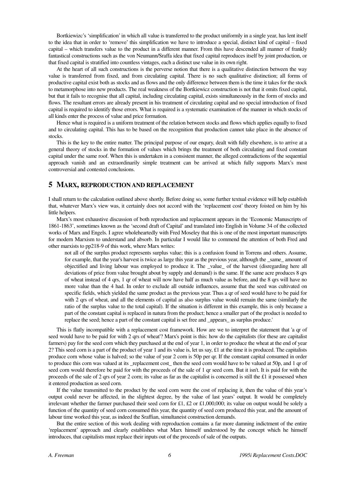Bortkiewizc's 'simplification' in which all value is transferred to the product uniformly in a single year, has lent itself to the idea that in order to 'remove' this simplification we have to introduce a special, distinct kind of capital – fixed capital – which transfers value to the product in a different manner. From this have descended all manner of frankly fantastical constructions such as the von Neumann/Sraffa idea that fixed capital reproduces itself by joint production, or that fixed capital is stratified into countless vintages, each a distinct use value in its own right.

At the heart of all such constructions is the perverse notion that there is a qualitative distinction between the way value is transferred from fixed, and from circulating capital. There is no such qualitative distinction; all forms of productive capital exist both as stocks and as flows and the only difference between them is the time it takes for the stock to metamorphose into new products. The real weakness of the Bortkiewicz construction is not that it omits fixed capital, but that it fails to recognise that all capital, including circulating capital, exists simultaneously in the form of stocks and flows. The resultant errors are already present in his treatment of circulating capital and no special introduction of fixed capital is required to identify those errors. What is required is a systematic examination of the manner in which stocks of all kinds enter the process of value and price formation.

Hence what is required is a uniform treatment of the relation between stocks and flows which applies equally to fixed and to circulating capital. This has to be based on the recognition that production cannot take place in the absence of stocks.

This is the key to the entire matter. The principal purpose of our enqury, dealt with fully elsewhere, is to arrive at a general theory of stocks in the formation of values which brings the treatment of both circulating and fixed constant capital under the same roof. When this is undertaken in a consistent manner, the alleged contradictions of the sequential approach vanish and an extraordinarily simple treatment can be arrived at which fully supports Marx's most controversial and contested conclusions.

#### **5 MARX, REPRODUCTION AND REPLACEMENT**

I shall return to the calculation outlined above shortly. Before doing so, some further textual evidence will help establish that, whatever Marx's view was, it certainly does not accord with the 'replacement cost' theory foisted on him by his little helpers.

Marx's most exhaustive discussion of both reproduction and replacement appears in the 'Economic Manuscripts of 1861-1863', sometimes known as the 'second draft of Capital' and translated into English in Volume 34 of the collected works of Marx and Engels. I agree wholeheartedly with Fred Moseley that this is one of the most important manuscripts for modern Marxism to understand and absorb. In particular I would like to commend the attention of both Fred and other marxists to pp218-9 of this work, where Marx writes:

not all of the surplus product represents surplus value; this is a confusion found in Torrens and others. Assume, for example, that the year's harvest is twice as large this year as the previous year, although the same amount of objectified and living labour was employed to produce it. The \_value\_ of the harvest (disregarding here all deviations of price from value brought about by supply and demand) is the same. If the same acre produces 8 qrs of wheat instead of 4 qrs, 1 qr of wheat will now have half as much value as before, and the 8 qrs will have no more value than the 4 had. In order to exclude all outside influences, assume that the seed was cultivated on specific fields, which yielded the same product as the previous year. Thus a qr of seed would have to be paid for with 2 qrs of wheat, and all the elements of capital as also surplus value would remain the same (similarly the ratio of the surplus value to the total capital). If the situation is different in this example, this is only because a part of the constant capital is replaced in natura from the product; hence a smaller part of the product is needed to replace the seed; hence a part of the constant capital is set free and \_appears\_ as surplus produce.'

This is flatly incompatible with a replacement cost framework. How are we to interpret the statement that 'a qr of seed would have to be paid for with 2 qrs of wheat'? Marx's point is this: how do the capitalists (for these are capitalist farmers) pay for the seed corn which they purchased at the end of year 1, in order to produce the wheat at the end of year 2? This seed corn is a part of the product of year 1 and its value is, let us say, £1 at the time it is produced. The capitalists produce corn whose value is halved; so the value of year 2 corn is 50p per qr. If the constant capital consumed in order to produce this corn was valued at its \_replacement cost\_ then the seed corn would have to be valued at 50p, and 1 qr of seed corn would therefore be paid for with the proceeds of the sale of 1 qr seed corn. But it isn't. It is paid for with the proceeds of the sale of 2 qrs of year 2 corn; its value as far as the capitalist is concerned is still the £1 it possessed when it entered production as seed corn.

If the value transmitted to the product by the seed corn were the cost of replacing it, then the value of this year's output could never be affected, in the slightest degree, by the value of last years' output. It would be completely irrelevant whether the farmer purchased their seed corn for £1, £2 or £1,000,000; its value on output would be solely a function of the quantity of seed corn consumed this year, the quantity of seed corn produced this year, and the amount of labour time worked this year, as indeed the Sraffian, simultaneist construction demands.

But the entire section of this work dealing with reproduction contains a far more damning indictment of the entire 'replacement' approach and clearly establishes what Marx himself understood by the concept which he himself introduces, that capitalists must replace their inputs out of the proceeds of sale of the outputs.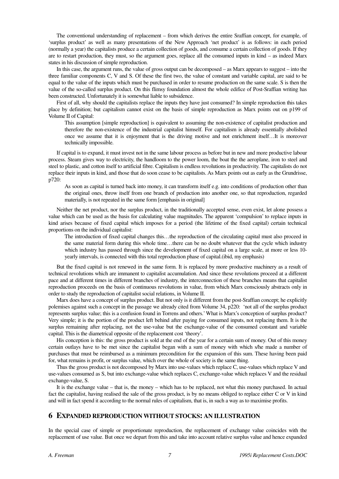The conventional understanding of replacement – from which derives the entire Sraffian concept, for example, of 'surplus product' as well as many presentations of the New Approach 'net product' is as follows: in each period (normally a year) the capitalists produce a certain collection of goods, and consume a certain collection of goods. If they are to restart production, they must, so the argument goes, replace all the consumed inputs in kind – as indeed Marx states in his discussion of simple reproduction.

In this case, the argument runs, the value of gross output can be decomposed – as Marx appears to suggest – into the three familiar components C, V and S. Of these the first two, the value of constant and variable capital, are said to be equal to the value of the inputs which must be purchased in order to resume production on the same scale. S is then the value of the so-called surplus product. On this flimsy foundation almost the whole edifice of Post-Sraffian writing has been constructed. Unfortunately it is somewhat liable to subsidence.

First of all, why should the capitalists replace the inputs they have just consumed? In simple reproduction this takes place by definition; but capitalism cannot exist on the basis of simple reproduction as Marx points out on p199 of Volume II of Capital:

This assumption [simple reproduction] is equivalent to assuming the non-existence of capitalist production and therefore the non-existence of the industrial capitalist himself. For capitalism is already essentially abolished once we assume that it is enjoyment that is the driving motive and not enrichment itself…It is moreover technically impossible.

If capital is to expand, it must invest not in the same labour process as before but in new and more productive labour process. Steam gives way to electricity, the handloom to the power loom, the boat the the aeroplane, iron to steel and steel to plastic, and cotton itself to artificial fibre. Capitalism is endless revolutions in productivity. The capitalists do not replace their inputs in kind, and those that do soon cease to be capitalists. As Marx points out as early as the Grundrisse, p720:

As soon as capital is turned back into money, it can transform itself e.g. into conditions of production other than the original ones, throw itself from one branch of production into another one, so that reproduction, regarded materially, is not repeated in the same form [emphasis in original]

Neither the net product, nor the surplus product, in the traditionally accepted sense, even exist, let alone possess a value which can be used as the basis for calculating value magnitudes. The apparent 'compulsion' to replace inputs in kind arises because of fixed capital which imposes for a period (the lifetime of the fixed capital) certain technical proportions on the individual capitalist:

The introduction of fixed capital changes this…the reproduction of the circulating capital must also proceed in the same material form during this whole time…there can be no doubt whatever that the cycle which industry which industry has passed through since the development of fixed capital on a large scale, at more or less 10 yearly intervals, is connected with this total reproduction phase of capital.(ibid, my emphasis)

But the fixed capital is not renewed in the same form. It is replaced by more productive machinery as a result of technical revolutions which are immanent to capitalist accumulation. And since these revolutions proceed at a different pace and at different times in different branches of industry, the interconnection of these branches means that capitalist reproduction proceeds on the basis of continuous revolutions in value, from which Marx consciously abstracts only in order to study the reproduction of capitalist social relations, in Volume II.

Marx does have a concept of surplus product. But not only is it different from the post-Sraffian concept; he explicitly polemises against such a concept in the passage we already cited from Volume 34, p220: 'not all of the surplus product represents surplus value; this is a confusion found in Torrens and others.' What is Marx's conception of surplus product? Very simple; it is the portion of the product left behind after paying for consumed inputs, not replacing them. It is the surplus remaining after replacing, not the use-value but the exchange-value of the consumed constant and variable capital. This is the diametrical opposite of the replacement cost 'theory'.

His conception is this: the gross product is sold at the end of the year for a certain sum of money. Out of this money certain outlays have to be met since the capitalist began with a sum of money with which s/he made a number of purchases that must be reimbursed as a minimum precondition for the expansion of this sum. These having been paid for, what remains is profit, or surplus value, which over the whole of society is the same thing.

Thus the gross product is not decomposed by Marx into use-values which replace C, use-values which replace V and use-values consumed as S, but into exchange-value which replaces C, exchange-value which replaces V and the residual exchange-value, S.

It is the exchange value – that is, the money – which has to be replaced, not what this money purchased. In actual fact the capitalist, having realised the sale of the gross product, is by no means obliged to replace either C or V in kind and will in fact spend it according to the normal rules of capitalism, that is, in such a way as to maximise profits.

#### **6 EXPANDED REPRODUCTION WITHOUT STOCKS: AN ILLUSTRATION**

In the special case of simple or proportionate reproduction, the replacement of exchange value coincides with the replacement of use value. But once we depart from this and take into account relative surplus value and hence expanded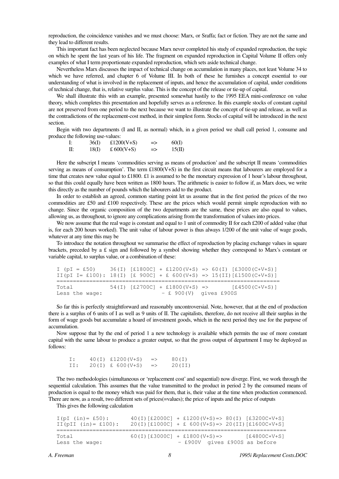reproduction, the coincidence vanishes and we must choose: Marx, or Sraffa; fact or fiction. They are not the same and they lead to different results.

This important fact has been neglected because Marx never completed his study of expanded reproduction, the topic on which he spent the last years of his life. The fragment on expanded reproduction in Capital Volume II offers only examples of what I term proportionate expanded reproduction, which sets aside technical change.

Nevertheless Marx discusses the impact of technical change on accumulation in many places, not least Volume 34 to which we have referred, and chapter 6 of Volume III. In both of these he furnishes a concept essential to our understanding of what is involved in the replacement of inputs, and hence the accumulation of capital, under conditions of technical change, that is, relative surplus value. This is the concept of the release or tie-up of capital.

We shall illustrate this with an example, presented somewhat hastily to the 1995 EEA mini-conference on value theory, which completes this presentation and hopefully serves as a reference. In this example stocks of constant capital are not preserved from one period to the next because we want to illustrate the concept of tie-up and release, as well as the contradictions of the replacement-cost method, in their simplest form. Stocks of capital will be introduced in the next section.

Begin with two departments (I and II, as normal) which, in a given period we shall call period 1, consume and produce the following use-values:

| 36(I) | £1200( $V+S$ ) | ⇒  | 60(I)  |
|-------|----------------|----|--------|
| 18(I) | £ $600(V+S)$   | => | 15(II) |

Here the subscript I means 'commodities serving as means of production' and the subscript II means 'commodities serving as means of consumption'. The term £1800(V+S) in the first circuit means that labourers are employed for a time that creates new value equal to £1800. £1 is assumed to be the monetary expression of 1 hour's labour throughout, so that this could equally have been written as 1800 hours. The arithmetic is easier to follow if, as Marx does, we write this directly as the number of pounds which the labourers add to the product.

In order to establish an agreed, common starting point let us assume that in the first period the prices of the two commodities are £50 and £100 respectively. These are the prices which would permit simple reproduction with no change. Since the organic composition of the two departments are the same, these prices are also equal to values, allowing us, as throughout, to ignore any complications arising from the transformation of values into prices.

We now assume that the real wage is constant and equal to 1 unit of commodity II for each £200 of added value (that is, for each 200 hours worked). The unit value of labour power is thus always 1/200 of the unit value of wage goods, whatever at any time this may be

To introduce the notation throughout we summarise the effect of reproduction by placing exchange values in square brackets, preceded by a £ sign and followed by a symbol showing whether they correspond to Marx's constant or variable capital, to surplus value, or a combination of these:

|                         |  |                          | $I(pI = £50)$ 36(I) [£1800C] + £1200(V+S) => 60(I) [£3000(C+V+S)]<br>II (pI I= £100): 18(I) [£ 900C] + £ 600(V+S) => 15(II) [£1500(C+V+S)] |
|-------------------------|--|--------------------------|--------------------------------------------------------------------------------------------------------------------------------------------|
| Total<br>Less the wage: |  | $-$ £ 900(V) gives £900S | $54(I)$ [£2700C] + £1800(V+S) => [£4500(C+V+S)]                                                                                            |

So far this is perfectly straightforward and reasonably uncontroversial. Note, however, that at the end of production there is a surplus of 6 units of I as well as 9 units of II. The capitalists, therefore, do not receive all their surplus in the form of wage goods but accumulate a hoard of investment goods, which in the next period they use for the purpose of accumulation.

Now suppose that by the end of period 1 a new technology is available which permits the use of more constant capital with the same labour to produce a greater output, so that the gross output of department I may be deployed as follows:

I:  $40(I)$  £1200(V+S) =>  $80(I)$ II:  $20(I)$  £ 600(V+S) => 20(II)

The two methodologies (simultaneous or 'replacement cost' and sequential) now diverge. First, we work through the sequential calculation. This assumes that the value transmitted to the product in period 2 by the consumed means of production is equal to the money which was paid for them, that is, their value at the time when production commenced. There are now, as a result, two different sets of prices(=values); the price of inputs and the price of outputs

This gives the following calculation

| $I(pI (in) = £50)$ :<br>II(pII $(in) = £100$ ): | $40(I)$ [£2000C] + £1200 (V+S) => 80(I) [£3200C+V+S]<br>$20(I)$ [£1000C] + £ 600(V+S) => 20(II) [£1600C+V+S] |
|-------------------------------------------------|--------------------------------------------------------------------------------------------------------------|
| Total<br>Less the wage:                         | $60(I)$ [£3000C] + £1800(V+S) =><br>[£4800C+V+S]<br>- £900V gives £900S as before                            |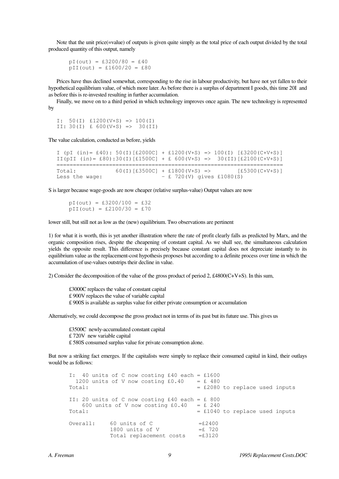Note that the unit price(=value) of outputs is given quite simply as the total price of each output divided by the total produced quantity of this output, namely

 $pI(out) = £3200/80 = £40$  $pII(out) = £1600/20 = £80$ 

Prices have thus declined somewhat, corresponding to the rise in labour productivity, but have not yet fallen to their hypothetical equilibrium value, of which more later. As before there is a surplus of department I goods, this time 20I and as before this is re-invested resulting in further accumulation.

Finally, we move on to a third period in which technology improves once again. The new technology is represented by

I:  $50(I)$  £1200(V+S) => 100(I) II:  $30(I)$  £ 600(V+S) => 30(II)

The value calculation, conducted as before, yields

| I (pI (in)= £40): 50(I)[£2000C] + £1200(V+S) => 100(I) [£3200(C+V+S)] |                                  |                             |  |                  |  |
|-----------------------------------------------------------------------|----------------------------------|-----------------------------|--|------------------|--|
| II(pII (in) = £80):30(I)[£1500C] + £ 600(V+S) => 30(II)[£2100(C+V+S)] |                                  |                             |  |                  |  |
|                                                                       |                                  |                             |  |                  |  |
| Total:                                                                | $60(I)$ [£3500C] + £1800(V+S) => |                             |  | $[£5300(C+V+S)]$ |  |
| Less the wage:                                                        |                                  | $-$ £ 720(V) gives £1080(S) |  |                  |  |

S is larger because wage-goods are now cheaper (relative surplus-value) Output values are now

 $pI(out) = £3200/100 = £32$  $pII(out) = £2100/30 = £70$ 

lower still, but still not as low as the (new) equilibrium. Two observations are pertinent

1) for what it is worth, this is yet another illustration where the rate of profit clearly falls as predicted by Marx, and the organic composition rises, despite the cheapening of constant capital. As we shall see, the simultaneous calculation yields the opposite result. This difference is precisely because constant capital does not depreciate instantly to its equilibrium value as the replacement-cost hypothesis proposes but according to a definite process over time in which the accumulation of use-values outstrips their decline in value.

2) Consider the decomposition of the value of the gross product of period 2, £4800(C+V+S). In this sum,

£3000C replaces the value of constant capital £ 900V replaces the value of variable capital £ 900S is available as surplus value for either private consumption or accumulation

Alternatively, we could decompose the gross product not in terms of its past but its future use. This gives us

 £3500C newly-accumulated constant capital £ 720V new variable capital £ 580S consumed surplus value for private consumption alone.

But now a striking fact emerges. If the capitalists were simply to replace their consumed capital in kind, their outlays would be as follows:

 I: 40 units of C now costing £40 each = £1600 1200 units of V now costing  $£0.40 = £480$ Total:  $=$  £2080 to replace used inputs II: 20 units of C now costing  $£40$  each = £ 800 600 units of V now costing  $£0.40 = £240$ Total:  $= £1040$  to replace used inputs Overall: 60 units of  $C = £2400$  $1800$  units of V  $=$ £ 720 Total replacement costs =£3120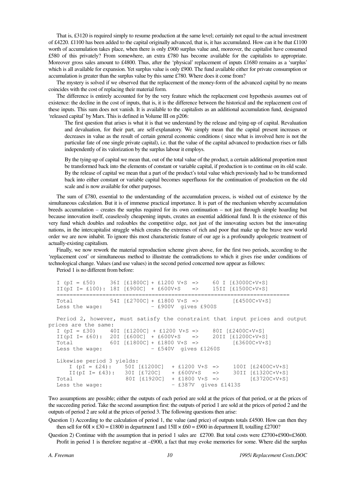That is, £3120 is required simply to resume production at the same level; certainly not equal to the actual investment of £4220. £1100 has been added to the capital originally advanced, that is, it has accumulated. How can it be that £1100 worth of accumulation takes place, when there is only £900 surplus value and, moreover, the capitalist have consumed £580 of this privately? From somewhere, an extra £780 has become available for the capitalists to appropriate. Moreover gross sales amount to £4800. Thus, after the 'physical' replacement of inputs £1680 remains as a 'surplus' which is all available for expansion. Yet surplus value is only £900. The fund available either for private consumption or accumulation is greater than the surplus value by this same £780. Where does it come from?

The mystery is solved if we observed that the replacement of the money-form of the advanced capital by no means coincides with the cost of replacing their material form.

The difference is entirely accounted for by the very feature which the replacement cost hypothesis assumes out of existence: the decline in the cost of inputs, that is, it is the difference between the historical and the replacement cost of these inputs. This sum does not vanish. It is available to the capitalists as an additional accumulation fund, designated 'released capital' by Marx. This is defined in Volume III on p206:

The first question that arises is what it is that we understand by the release and tying-up of capital. Revaluation and devaluation, for their part, are self-explanatory. We simply mean that the capital present increases or decreases in value as the result of certain general economic conditions ( since what is involved here is not the particular fate of one single private capital), i.e. that the value of the capital advanced to production rises or falls independently of its valorization by the surplus labour it employs.

By the tying-up of capital we mean that, out of the total value of the product, a certain additional proportion must be transformed back into the elements of constant or variable capital, if production is to continue on its old scale. By the release of capital we mean that a part of the product's total value which previously had to be transformed back into either constant or variable capital becomes superfluous for the continuation of production on the old scale and is now available for other purposes.

The sum of £780, essential to the understanding of the accumulation process, is wished out of existence by the simultaneous calculation. But it is of immense practical importance. It is part of the mechanism whereby accumulation breeds accumulation – creates the surplus required for its own continuation – not just through simple hoarding but because innovation itself, ceaselessly cheapening inputs, creates an essential additional fund. It is the existence of this very fund which doubles and redoubles the competitive edge, not just of the innovating sectors but the innovating nations, in the intercapitalist struggle which creates the extremes of rich and poor that make up the brave new world order we are now inhabit. To ignore this most characteristic feature of our age is a profoundly apologetic treatment of actually-existing capitalism.

Finally, we now rework the material reproduction scheme given above, for the first two periods, according to the 'replacement cost' or simultaneous method to illustrate the contradictions to which it gives rise under conditions of technological change. Values (and use values) in the second period concerned now appear as follows:

Period 1 is no different from before:

```
I (pI = £50) 36I [£1800C] + £1200 V+S => 60 I [£3000C+V+S] 
  II(pI I = £100): 18I [£900C] + £600V+S => 15II [£1500C+V+S]======================================================================= 
  Total 54I [£2700C] + £1800 V+S => [£4500C+V+S] 
  Less the wage: – £900V gives £900S 
  Period 2, however, must satisfy the constraint that input prices and output 
prices are the same: 
  I (pI = £30) 40I [£1200C] + £1200 V+S \implies 80I [£2400C+V+S]II(pI I= £60): 20I [£600C] + £600V+S => 20II [£1200C+V+S] 
  Total 60I [£1800C] + £1800 V+S => [£3600C+V+S] 
  Less the wage: – £540V gives £1260S
  Likewise period 3 yields: 
     I (pI = £24): 50I [£1200C] + £1200 V+S => 100I [£2400C+V+S]<br>II (pI I= £43): 30I [£720C] + £600V+S => 30II [£1320C+V+S]
      II(pI I= £43): 30I [£720C] + £600V+S => 30II [£1320C+V+S] 
  Total 80I [£1920C] + £1800 V+S => [£1920C+V+S]
  Less the wage: - £387V gives £1413S
```
Two assumptions are possible; either the outputs of each period are sold at the prices of that period, or at the prices of the succeeding period. Take the second assumption first: the outputs of period 1 are sold at the prices of period 2 and the outputs of period 2 are sold at the prices of period 3. The following questions then arise:

Question 1) According to the calculation of period 1, the value (and price) of outputs totals £4500. How can then they then sell for  $60I \times £30 = £1800$  in department I and  $15II \times £60 = £900$  in department II, totalling £2700?

Question 2) Continue with the assumption that in period 1 sales are £2700. But total costs were £2700+£900=£3600. Profit in period 1 is therefore negative at –£900, a fact that may evoke memories for some. Where did the surplus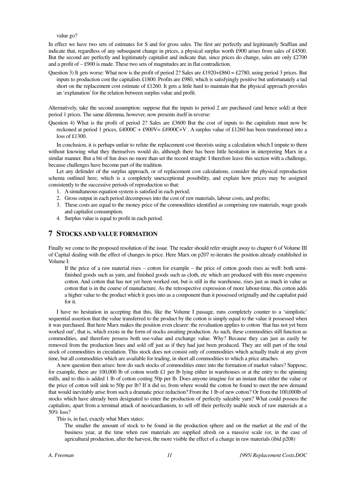value go?

In effect we have two sets of estimates for S and for gross sales. The first are perfectly and legitimately Sraffian and indicate that, regardless of any subsequent change in prices, a physical surplus worth £900 arises from sales of £4500. But the second are perfectly and legitimately capitalist and indicate that, since prices do change, sales are only £2700 and a profit of – £900 is made. These two sets of magnitudes are in flat contradiction.

Question 3) It gets worse: What now is the profit of period 2? Sales are £1920+£860 = £2780, using period 3 prices. But inputs to production cost the capitalists £1800. Profits are £980, which is satisfyingly positive but unfortunately a tad short on the replacement cost estimate of £1260. It gets a little hard to maintain that the physical approach provides an 'explanation' for the relation between surplus value and profit.

Alternatively, take the second assumption: suppose that the inputs to period 2 are purchased (and hence sold) at their period 1 prices. The same dilemma, however, now presents itself in reverse:

Question 4) What is the profit of period 2? Sales are £3600 But the cost of inputs to the capitalists must now be reckoned at period 1 prices, £4000C + £900V= £4900C+V . A surplus value of £1260 has been transformed into a loss of £1300.

In conclusion, it is perhaps unfair to refute the replacement cost theorists using a calculation which I impute to them without knowing what they themselves would do, although there has been little hesitation in interpreting Marx in a similar manner. But a bit of fun does no more than set the record straight: I therefore leave this section with a challenge, because challenges have become part of the tradition.

Let any defender of the surplus approach, or of replacement cost calculations, consider the physical reproduction schema outlined here, which is a completely unexceptional possibility, and explain how prices may be assigned consistently to the successive periods of reproduction so that:

- 1. A simultaneous equation system is satisfied in each period;
- 2. Gross output in each period decomposes into the cost of raw materials, labour costs, and profits;
- 3. These costs are equal to the money price of the commodities identified as comprising raw materials, wage goods and capitalist consumption.
- 4. Surplus value is equal to profit in each period.

#### **7 STOCKS AND VALUE FORMATION**

Finally we come to the proposed resolution of the issue. The reader should refer straight away to chapter 6 of Volume III of Capital dealing with the effect of changes in price. Here Marx on p207 re-iterates the position already established in Volume I:

If the price of a raw material rises – cotton for example – the price of cotton goods rises as well: both semifinished goods such as yarn, and finished goods such as cloth, etc which are produced with this more expensive cotton. And cotton that has not yet been worked out, but is still in the warehouse, rises just as much in value as cotton that is in the course of manufacture. As the retrospective expression of more labour-time, this cotton adds a higher value to the product which it goes into as a component than it possessed originally and the capitalist paid for it.

I have no hesitation in accepting that this, like the Volume I passage, runs completely counter to a 'simplistic' sequential assertion that the value transferred to the product by the cotton is simply equal to the value it possessed when it was purchased. But here Marx makes the position even clearer: the revaluation applies to cotton 'that has not yet been worked out', that is, which exists in the form of stocks awaiting production. As such, these commodities still function as commodities, and therefore possess both use-value and exchange value. Why? Because they can just as easily be removed from the production lines and sold off just as if they had just been produced. They are still part of the total stock of commodities in circulation. This stock does not consist only of commodities which actually trade at any given time, but all commodities which are available for trading, in short all commodities to which a price attaches.

A new question then arises: how do such stocks of commodities enter into the formation of market values? Suppose, for example, there are 100,000 lb of cotton worth  $\pounds1$  per lb lying either in warehouses or at the entry to the spinning mills, and to this is added 1 lb of cotton costing 50p per lb. Does anyone imagine for an instant that either the value or the price of cotton will sink to 50p per lb? If it did so, from where would the cotton be found to meet the new demand that would inevitably arise from such a dramatic price reduction? From the 1 lb of new cotton? Or from the 100,000lb of stocks which have already been designated to enter the production of perfectly saleable yarn? What could possess the capitalists, apart from a terminal attack of neoricardianism, to sell off their perfectly usable stock of raw materials at a 50% loss?

This is, in fact, exactly what Marx states:

The smaller the amount of stock to be found in the production sphere and on the market at the end of the business year, at the time when raw materials are supplied afresh on a massive scale (or, in the case of agricultural production, after the harvest, the more visible the effect of a change in raw materials (ibid p208)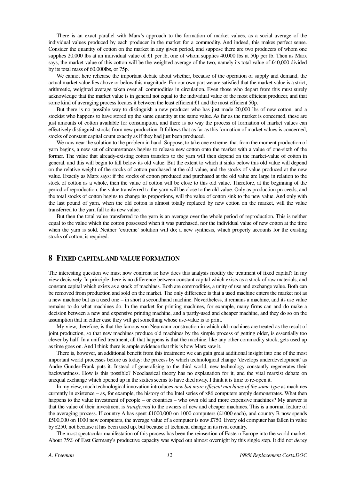There is an exact parallel with Marx's approach to the formation of market values, as a social average of the individual values produced by each producer in the market for a commodity. And indeed, this makes perfect sense. Consider the quantity of cotton on the market in any given period, and suppose there are two producers of whom one supplies 20,000 lbs at an individual value of  $\pounds1$  per lb, one of whom supplies 40,000 lbs at 50p per lb. Then as Marx says, the market value of this cotton will be the weighted average of the two, namely its total value of £40,000 divided by its total mass of 60,000lbs, or 75p.

We cannot here rehearse the important debate about whether, because of the operation of supply and demand, the actual market value lies above or below this magnitude. For our own part we are satisfied that the market value is a strict, arithmetic, weighted average taken over all commodities in circulation. Even those who depart from this must surely acknowledge that the market value is in general not equal to the individual value of the most efficient producer, and that some kind of averaging process locates it between the least efficient £1 and the most efficient 50p.

But there is no possible way to distinguish a new producer who has just made 20,000 lbs of new cotton, and a stockist who happens to have stored up the same quantity at the same value. As far as the market is concerned, these are just amounts of cotton available for consumption, and there is no way the process of formation of market values can effectively distinguish stocks from new production. It follows that as far as this formation of market values is concerned, stocks of constant capital count exactly as if they had just been produced.

We now near the solution to the problem in hand. Suppose, to take one extreme, that from the moment production of yarn begins, a new set of circumstances begins to release new cotton onto the market with a value of one-sixth of the former. The value that already-existing cotton transfers to the yarn will then depend on the market-value of cotton in general, and this will begin to fall below its old value. But the extent to which it sinks below this old value will depend on the relative weight of the stocks of cotton purchased at the old value, and the stocks of value produced at the new value. Exactly as Marx says: if the stocks of cotton produced and purchased at the old value are large in relation to the stock of cotton as a whole, then the value of cotton will be close to this old value. Therefore, at the beginning of the period of reproduction, the value transferred to the yarn will be close to the old value. Only as production proceeds, and the total stocks of cotton begins to change its proportions, will the value of cotton sink to the new value. And only with the last pound of yarn, when the old cotton is almost totally replaced by new cotton on the market, will the value transferred to the yarn fall to its new value.

But then the total value transferred to the yarn is an average over the whole period of reproduction. This is neither equal to the value which the cotton possessed when it was purchased, nor the individual value of new cotton at the time when the yarn is sold. Neither 'extreme' solution will do; a new synthesis, which properly accounts for the existing stocks of cotton, is required.

#### **8 FIXED CAPITAL AND VALUE FORMATION**

The interesting question we must now confront is: how does this analysis modify the treatment of fixed capital? In my view decisively. In principle there is no difference between constant capital which exists as a stock of raw materials, and constant capital which exists as a stock of machines. Both are commodities, a unity of use and exchange value. Both can be removed from production and sold on the market. The only difference is that a used machine enters the market not as a new machine but as a used one – in short a secondhand machine. Nevertheless, it remains a machine, and its use value remains to do what machines do. In the market for printing machines, for example, many firms can and do make a decision between a new and expensive printing machine, and a partly-used and cheaper machine, and they do so on the assumption that in either case they will get something whose use-value is to print.

My view, therefore, is that the famous von Neumann construction in which old machines are treated as the result of joint production, so that new machines produce old machines by the simple process of getting older, is essentially too clever by half. In a unified treatment, all that happens is that the machine, like any other commodity stock, gets used up as time goes on. And I think there is ample evidence that this is how Marx saw it.

There is, however, an additional benefit from this treatment: we can gain great additional insight into one of the most important world processes before us today: the process by which technological change 'develops underdevelopment' as Andre Gunder-Frank puts it. Instead of generalising to the third world, new technology constantly regenerates their backwardness. How is this possible? Neoclassical theory has no explanation for it, and the vital marxist debate on unequal exchange which opened up in the sixties seems to have died away. I think it is time to re-open it.

In my view, much technological innovation introduces *new but more efficient machines of the same type* as machines currently in existence – as, for example, the history of the Intel series of x86 computers amply demonstrates. What then happens to the value investment of people – or countries – who own old and more expensive machines? My answer is that the value of their investment is *transferred* to the owners of new and cheaper machines. This is a normal feature of the averaging process. If country A has spent  $£1000,000$  on 1000 computers ( $£1000$  each), and country B now spends £500,000 on 1000 new computers, the average value of a computer is now £750. Every old computer has fallen in value by £250, not because it has been used up, but because of technical change in its rival country.

The most spectacular manifestation of this process has been the reinsertion of Eastern Europe into the world market. About 75% of East Germany's productive capacity was wiped out almost overnight by this single step. It did not *decay*